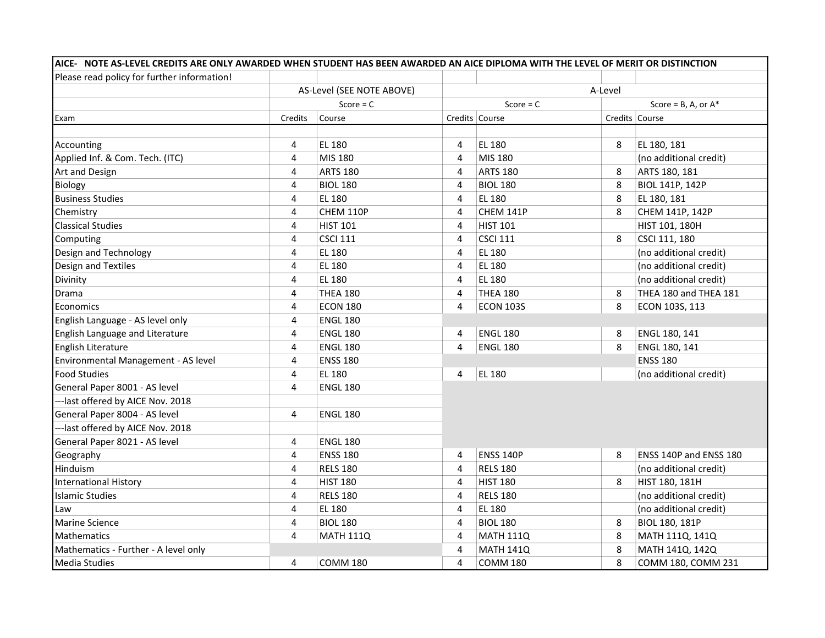| Please read policy for further information! |                |                           |                |                                          |         |                        |  |  |
|---------------------------------------------|----------------|---------------------------|----------------|------------------------------------------|---------|------------------------|--|--|
|                                             |                | AS-Level (SEE NOTE ABOVE) |                |                                          | A-Level |                        |  |  |
|                                             |                | Score = $C$               |                | Score = $C$<br>Score = $B$ , A, or $A^*$ |         |                        |  |  |
| Exam                                        | Credits        | Course                    |                | Credits Course                           |         | Credits Course         |  |  |
|                                             |                |                           |                |                                          |         |                        |  |  |
| Accounting                                  | 4              | <b>EL 180</b>             | 4              | EL 180                                   | 8       | EL 180, 181            |  |  |
| Applied Inf. & Com. Tech. (ITC)             | 4              | MIS 180                   | $\overline{4}$ | MIS 180                                  |         | (no additional credit) |  |  |
| Art and Design                              | 4              | <b>ARTS 180</b>           | 4              | <b>ARTS 180</b>                          | 8       | ARTS 180, 181          |  |  |
| <b>Biology</b>                              | 4              | <b>BIOL 180</b>           | 4              | <b>BIOL 180</b>                          | 8       | BIOL 141P, 142P        |  |  |
| <b>Business Studies</b>                     | 4              | <b>EL 180</b>             | 4              | EL 180                                   | 8       | EL 180, 181            |  |  |
| Chemistry                                   | 4              | CHEM 110P                 | 4              | CHEM 141P                                | 8       | CHEM 141P, 142P        |  |  |
| <b>Classical Studies</b>                    | 4              | <b>HIST 101</b>           | 4              | <b>HIST 101</b>                          |         | HIST 101, 180H         |  |  |
| Computing                                   | 4              | <b>CSCI 111</b>           | 4              | <b>CSCI 111</b>                          | 8       | CSCI 111, 180          |  |  |
| Design and Technology                       | $\overline{4}$ | <b>EL 180</b>             | $\overline{4}$ | EL 180                                   |         | (no additional credit) |  |  |
| Design and Textiles                         | $\overline{4}$ | <b>EL 180</b>             | $\overline{4}$ | EL 180                                   |         | (no additional credit) |  |  |
| Divinity                                    | 4              | <b>EL 180</b>             | 4              | EL 180                                   |         | (no additional credit) |  |  |
| Drama                                       | 4              | <b>THEA 180</b>           | 4              | <b>THEA 180</b>                          | 8       | THEA 180 and THEA 181  |  |  |
| Economics                                   | 4              | <b>ECON 180</b>           | $\overline{4}$ | <b>ECON 103S</b>                         | 8       | ECON 103S, 113         |  |  |
| English Language - AS level only            | 4              | <b>ENGL 180</b>           |                |                                          |         |                        |  |  |
| English Language and Literature             | 4              | <b>ENGL 180</b>           | 4              | <b>ENGL 180</b>                          | 8       | ENGL 180, 141          |  |  |
| English Literature                          | 4              | <b>ENGL 180</b>           | $\overline{4}$ | <b>ENGL 180</b>                          | 8       | ENGL 180, 141          |  |  |
| Environmental Management - AS level         | 4              | <b>ENSS 180</b>           |                |                                          |         | <b>ENSS 180</b>        |  |  |
| <b>Food Studies</b>                         | 4              | EL 180                    | 4              | <b>EL 180</b>                            |         | (no additional credit) |  |  |
| General Paper 8001 - AS level               | $\overline{4}$ | <b>ENGL 180</b>           |                |                                          |         |                        |  |  |
| --- last offered by AICE Nov. 2018          |                |                           |                |                                          |         |                        |  |  |
| General Paper 8004 - AS level               | 4              | <b>ENGL 180</b>           |                |                                          |         |                        |  |  |
| --- last offered by AICE Nov. 2018          |                |                           |                |                                          |         |                        |  |  |
| General Paper 8021 - AS level               | 4              | <b>ENGL 180</b>           |                |                                          |         |                        |  |  |
| Geography                                   | 4              | <b>ENSS 180</b>           | 4              | <b>ENSS 140P</b>                         | 8       | ENSS 140P and ENSS 180 |  |  |
| Hinduism                                    | 4              | <b>RELS 180</b>           | 4              | <b>RELS 180</b>                          |         | (no additional credit) |  |  |
| <b>International History</b>                | 4              | <b>HIST 180</b>           | 4              | <b>HIST 180</b>                          | 8       | HIST 180, 181H         |  |  |
| <b>Islamic Studies</b>                      | $\overline{4}$ | <b>RELS 180</b>           | 4              | <b>RELS 180</b>                          |         | (no additional credit) |  |  |
| Law                                         | 4              | <b>EL 180</b>             | 4              | EL 180                                   |         | (no additional credit) |  |  |
| <b>Marine Science</b>                       | 4              | <b>BIOL 180</b>           | 4              | <b>BIOL 180</b>                          | 8       | BIOL 180, 181P         |  |  |
| <b>Mathematics</b>                          | 4              | <b>MATH 111Q</b>          | 4              | <b>MATH 111Q</b>                         | 8       | MATH 111Q, 141Q        |  |  |
| Mathematics - Further - A level only        |                |                           | 4              | <b>MATH 141Q</b>                         | 8       | MATH 141Q, 142Q        |  |  |
| <b>Media Studies</b>                        | 4              | <b>COMM 180</b>           | 4              | <b>COMM 180</b>                          | 8       | COMM 180, COMM 231     |  |  |

AICE- NOTE AS-LEVEL CREDITS ARE ONLY AWARDED WHEN STUDENT HAS BEEN AWARDED AN AICE DIPLOMA WITH THE LEVEL OF MERIT OR DISTINCTION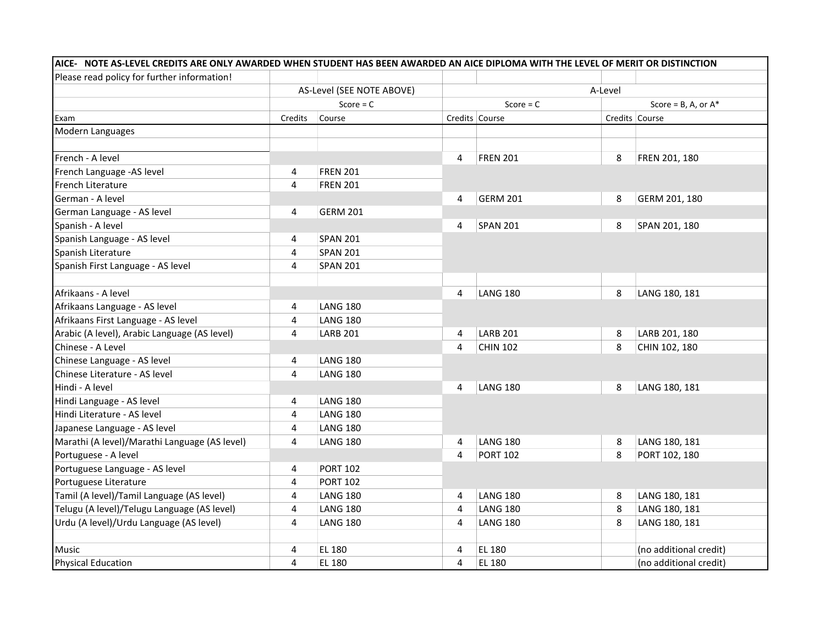| Please read policy for further information!   |                                          |                 |                |                 |         |                           |
|-----------------------------------------------|------------------------------------------|-----------------|----------------|-----------------|---------|---------------------------|
|                                               | AS-Level (SEE NOTE ABOVE)<br>Score = $C$ |                 |                |                 | A-Level |                           |
|                                               |                                          |                 | Score = $C$    |                 |         | Score = $B$ , A, or $A^*$ |
| Exam                                          | Credits                                  | Course          |                | Credits Course  |         | Credits Course            |
| Modern Languages                              |                                          |                 |                |                 |         |                           |
| French - A level                              |                                          |                 | 4              | <b>FREN 201</b> | 8       | FREN 201, 180             |
| French Language -AS level                     | 4                                        | <b>FREN 201</b> |                |                 |         |                           |
| <b>French Literature</b>                      | 4                                        | <b>FREN 201</b> |                |                 |         |                           |
| German - A level                              |                                          |                 | $\overline{4}$ | <b>GERM 201</b> | 8       | GERM 201, 180             |
| German Language - AS level                    | 4                                        | <b>GERM 201</b> |                |                 |         |                           |
| Spanish - A level                             |                                          |                 | 4              | <b>SPAN 201</b> | 8       | SPAN 201, 180             |
| Spanish Language - AS level                   | 4                                        | <b>SPAN 201</b> |                |                 |         |                           |
| Spanish Literature                            | 4                                        | <b>SPAN 201</b> |                |                 |         |                           |
| Spanish First Language - AS level             | 4                                        | <b>SPAN 201</b> |                |                 |         |                           |
| Afrikaans - A level                           |                                          |                 | $\overline{4}$ | <b>LANG 180</b> | 8       | LANG 180, 181             |
| Afrikaans Language - AS level                 | 4                                        | LANG 180        |                |                 |         |                           |
| Afrikaans First Language - AS level           | 4                                        | <b>LANG 180</b> |                |                 |         |                           |
| Arabic (A level), Arabic Language (AS level)  | 4                                        | <b>LARB 201</b> | 4              | <b>LARB 201</b> | 8       | LARB 201, 180             |
| Chinese - A Level                             |                                          |                 | 4              | <b>CHIN 102</b> | 8       | CHIN 102, 180             |
| Chinese Language - AS level                   | 4                                        | LANG 180        |                |                 |         |                           |
| Chinese Literature - AS level                 | $\overline{4}$                           | <b>LANG 180</b> |                |                 |         |                           |
| Hindi - A level                               |                                          |                 | 4              | <b>LANG 180</b> | 8       | LANG 180, 181             |
| Hindi Language - AS level                     | 4                                        | LANG 180        |                |                 |         |                           |
| Hindi Literature - AS level                   | 4                                        | LANG 180        |                |                 |         |                           |
| Japanese Language - AS level                  | 4                                        | <b>LANG 180</b> |                |                 |         |                           |
| Marathi (A level)/Marathi Language (AS level) | $\overline{4}$                           | <b>LANG 180</b> | 4              | <b>LANG 180</b> | 8       | LANG 180, 181             |
| Portuguese - A level                          |                                          |                 | 4              | <b>PORT 102</b> | 8       | PORT 102, 180             |
| Portuguese Language - AS level                | 4                                        | <b>PORT 102</b> |                |                 |         |                           |
| Portuguese Literature                         | 4                                        | <b>PORT 102</b> |                |                 |         |                           |
| Tamil (A level)/Tamil Language (AS level)     | 4                                        | <b>LANG 180</b> | 4              | <b>LANG 180</b> | 8       | LANG 180, 181             |
| Telugu (A level)/Telugu Language (AS level)   | $\overline{4}$                           | LANG 180        | 4              | <b>LANG 180</b> | 8       | LANG 180, 181             |
| Urdu (A level)/Urdu Language (AS level)       | $\overline{4}$                           | LANG 180        | 4              | <b>LANG 180</b> | 8       | LANG 180, 181             |
| Music                                         | 4                                        | <b>EL 180</b>   | 4              | EL 180          |         | (no additional credit)    |
| <b>Physical Education</b>                     | $\overline{4}$                           | EL 180          | 4              | EL 180          |         | (no additional credit)    |